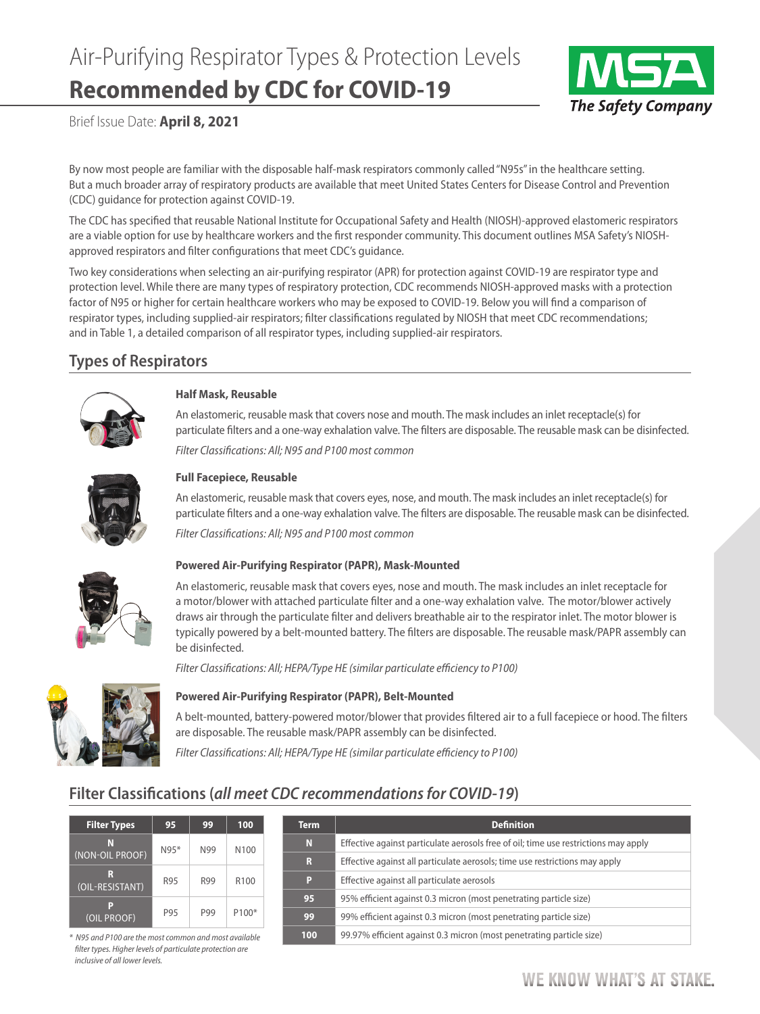# Air-Purifying Respirator Types & Protection Levels **Recommended by CDC for COVID-19**



Brief Issue Date: **April 8, 2021**

By now most people are familiar with the disposable half-mask respirators commonly called "N95s" in the healthcare setting. But a much broader array of respiratory products are available that meet United States Centers for Disease Control and Prevention (CDC) guidance for protection against COVID-19.

The CDC has specified that reusable National Institute for Occupational Safety and Health (NIOSH)-approved elastomeric respirators are a viable option for use by healthcare workers and the first responder community. This document outlines MSA Safety's NIOSHapproved respirators and filter configurations that meet CDC's guidance.

Two key considerations when selecting an air-purifying respirator (APR) for protection against COVID-19 are respirator type and protection level. While there are many types of respiratory protection, CDC recommends NIOSH-approved masks with a protection factor of N95 or higher for certain healthcare workers who may be exposed to COVID-19. Below you will find a comparison of respirator types, including supplied-air respirators; filter classifications regulated by NIOSH that meet CDC recommendations; and in Table 1, a detailed comparison of all respirator types, including supplied-air respirators.

## **Types of Respirators**



#### **Half Mask, Reusable**

An elastomeric, reusable mask that covers nose and mouth. The mask includes an inlet receptacle(s) for particulate filters and a one-way exhalation valve. The filters are disposable. The reusable mask can be disinfected.

*Filter Classifications: All; N95 and P100 most common*



#### **Full Facepiece, Reusable**

An elastomeric, reusable mask that covers eyes, nose, and mouth. The mask includes an inlet receptacle(s) for particulate filters and a one-way exhalation valve. The filters are disposable. The reusable mask can be disinfected.

*Filter Classifications: All; N95 and P100 most common*



#### **Powered Air-Purifying Respirator (PAPR), Mask-Mounted**

An elastomeric, reusable mask that covers eyes, nose and mouth. The mask includes an inlet receptacle for a motor/blower with attached particulate filter and a one-way exhalation valve. The motor/blower actively draws air through the particulate filter and delivers breathable air to the respirator inlet. The motor blower is typically powered by a belt-mounted battery. The filters are disposable. The reusable mask/PAPR assembly can be disinfected.

*Filter Classifications: All; HEPA/Type HE (similar particulate efficiency to P100)* 



#### **Powered Air-Purifying Respirator (PAPR), Belt-Mounted**

A belt-mounted, battery-powered motor/blower that provides filtered air to a full facepiece or hood. The filters are disposable. The reusable mask/PAPR assembly can be disinfected.

*Filter Classifications: All; HEPA/Type HE (similar particulate efficiency to P100)* 

## **Filter Classifications (***all meet CDC recommendations for COVID-19***)**

| <b>Filter Types</b>  | 95     | 99  | 100                |
|----------------------|--------|-----|--------------------|
| N<br>(NON-OIL PROOF) | $N95*$ | N99 | N <sub>100</sub>   |
| R<br>(OIL-RESISTANT) | R95    | R99 | R <sub>100</sub>   |
| P<br>(OIL PROOF)     | P95    | P99 | P <sub>100</sub> * |

 $*$  N95 and P100 are the most common and most available *filter types. Higher levels of particulate protection are inclusive of all lower levels.*

| <b>Term</b> | <b>Definition</b>                                                                   |
|-------------|-------------------------------------------------------------------------------------|
| N           | Effective against particulate aerosols free of oil; time use restrictions may apply |
| R           | Effective against all particulate aerosols; time use restrictions may apply         |
| Р           | Effective against all particulate aerosols                                          |
| 95          | 95% efficient against 0.3 micron (most penetrating particle size)                   |
| 99          | 99% efficient against 0.3 micron (most penetrating particle size)                   |
| 100         | 99.97% efficient against 0.3 micron (most penetrating particle size)                |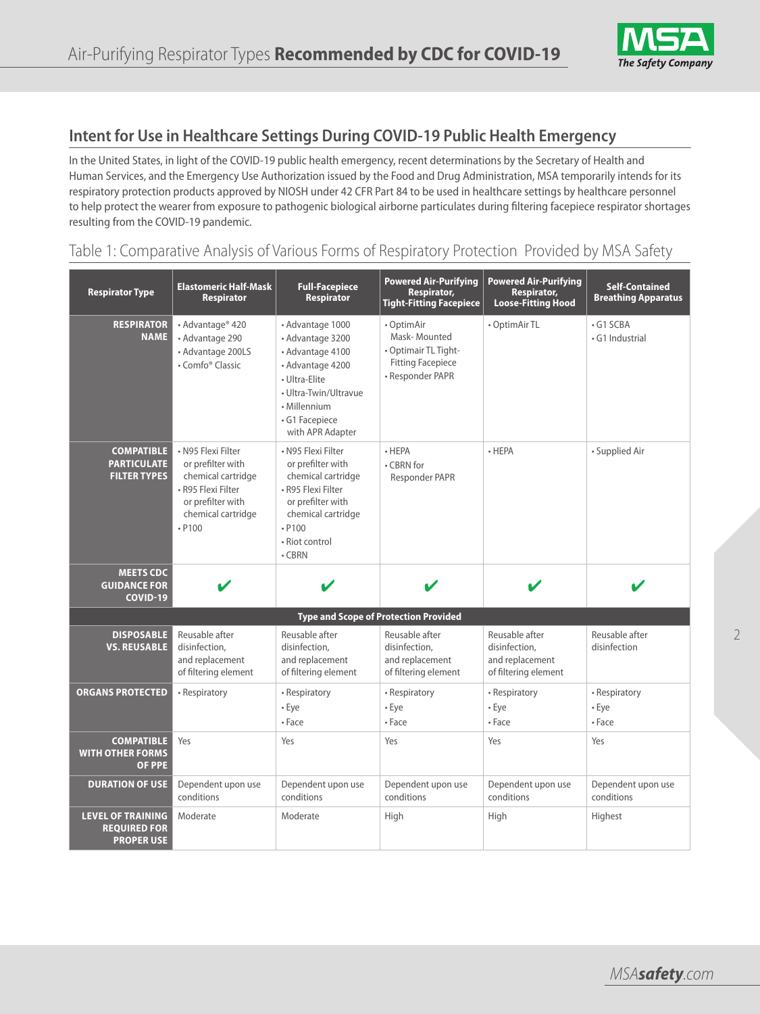

## **Intent for Use in Healthcare Settings During COVID-19 Public Health Emergency**

In the United States, in light of the COVID-19 public health emergency, recent determinations by the Secretary of Health and Human Services, and the Emergency Use Authorization issued by the Food and Drug Administration, MSA temporarily intends for its respiratory protection products approved by NIOSH under 42 CFR Part 84 to be used in healthcare settings by healthcare personnel to help protect the wearer from exposure to pathogenic biological airborne particulates during filtering facepiece respirator shortages resulting from the COVID-19 pandemic.

### Table 1: Comparative Analysis of Various Forms of Respiratory Protection Provided by MSA Safety

| <b>Respirator Type</b>                                               | <b>Elastomeric Half-Mask</b><br><b>Respirator</b>                                                                                          | <b>Full-Facepiece</b><br><b>Respirator</b>                                                                                                                                   | <b>Powered Air-Purifying</b><br>Respirator,<br><b>Tight-Fitting Facepiece</b>                      | <b>Powered Air-Purifying</b><br>Respirator,<br><b>Loose-Fitting Hood</b>   | <b>Self-Contained</b><br><b>Breathing Apparatus</b> |
|----------------------------------------------------------------------|--------------------------------------------------------------------------------------------------------------------------------------------|------------------------------------------------------------------------------------------------------------------------------------------------------------------------------|----------------------------------------------------------------------------------------------------|----------------------------------------------------------------------------|-----------------------------------------------------|
| <b>RESPIRATOR</b><br><b>NAME</b>                                     | • Advantage® 420<br>• Advantage 290<br>• Advantage 200LS<br>• Comfo <sup>®</sup> Classic                                                   | • Advantage 1000<br>• Advantage 3200<br>· Advantage 4100<br>• Advantage 4200<br>• Ultra-Elite<br>• Ultra-Twin/Ultravue<br>• Millennium<br>• G1 Facepiece<br>with APR Adapter | • OptimAir<br>Mask-Mounted<br>• Optimair TL Tight-<br><b>Fitting Facepiece</b><br>• Responder PAPR | • OptimAir TL                                                              | $\cdot$ G1 SCBA<br>• G1 Industrial                  |
| <b>COMPATIBLE</b><br><b>PARTICULATE</b><br><b>FILTER TYPES</b>       | • N95 Flexi Filter<br>or prefilter with<br>chemical cartridge<br>• R95 Flexi Filter<br>or prefilter with<br>chemical cartridge<br>$- P100$ | · N95 Flexi Filter<br>or prefilter with<br>chemical cartridge<br>• R95 Flexi Filter<br>or prefilter with<br>chemical cartridge<br>$- P100$<br>• Riot control<br>$\cdot$ CBRN | $\cdot$ HEPA<br>• CBRN for<br>Responder PAPR                                                       | $\cdot$ HEPA                                                               | • Supplied Air                                      |
| <b>MEETS CDC</b><br><b>GUIDANCE FOR</b><br><b>COVID-19</b>           | V                                                                                                                                          | V                                                                                                                                                                            | $\boldsymbol{\nu}$                                                                                 | V                                                                          |                                                     |
|                                                                      |                                                                                                                                            | <b>Type and Scope of Protection Provided</b>                                                                                                                                 |                                                                                                    |                                                                            |                                                     |
| <b>DISPOSABLE</b><br><b>VS. REUSABLE</b>                             | Reusable after<br>disinfection,<br>and replacement<br>of filtering element                                                                 | Reusable after<br>disinfection,<br>and replacement<br>of filtering element                                                                                                   | Reusable after<br>disinfection,<br>and replacement<br>of filtering element                         | Reusable after<br>disinfection,<br>and replacement<br>of filtering element | Reusable after<br>disinfection                      |
| <b>ORGANS PROTECTED</b>                                              | • Respiratory                                                                                                                              | • Respiratory<br>$\cdot$ Eye<br>• Face                                                                                                                                       | • Respiratory<br>• Eye<br>• Face                                                                   | • Respiratory<br>• Eye<br>• Face                                           | • Respiratory<br>• Eye<br>• Face                    |
| <b>COMPATIBLE</b><br><b>WITH OTHER FORMS</b><br><b>OF PPE</b>        | Yes                                                                                                                                        | Yes                                                                                                                                                                          | Yes                                                                                                | Yes                                                                        | Yes                                                 |
| <b>DURATION OF USE</b>                                               | Dependent upon use<br>conditions                                                                                                           | Dependent upon use<br>conditions                                                                                                                                             | Dependent upon use<br>conditions                                                                   | Dependent upon use<br>conditions                                           | Dependent upon use<br>conditions                    |
| <b>LEVEL OF TRAINING</b><br><b>REQUIRED FOR</b><br><b>PROPER USE</b> | Moderate                                                                                                                                   | Moderate                                                                                                                                                                     | High                                                                                               | High                                                                       | Highest                                             |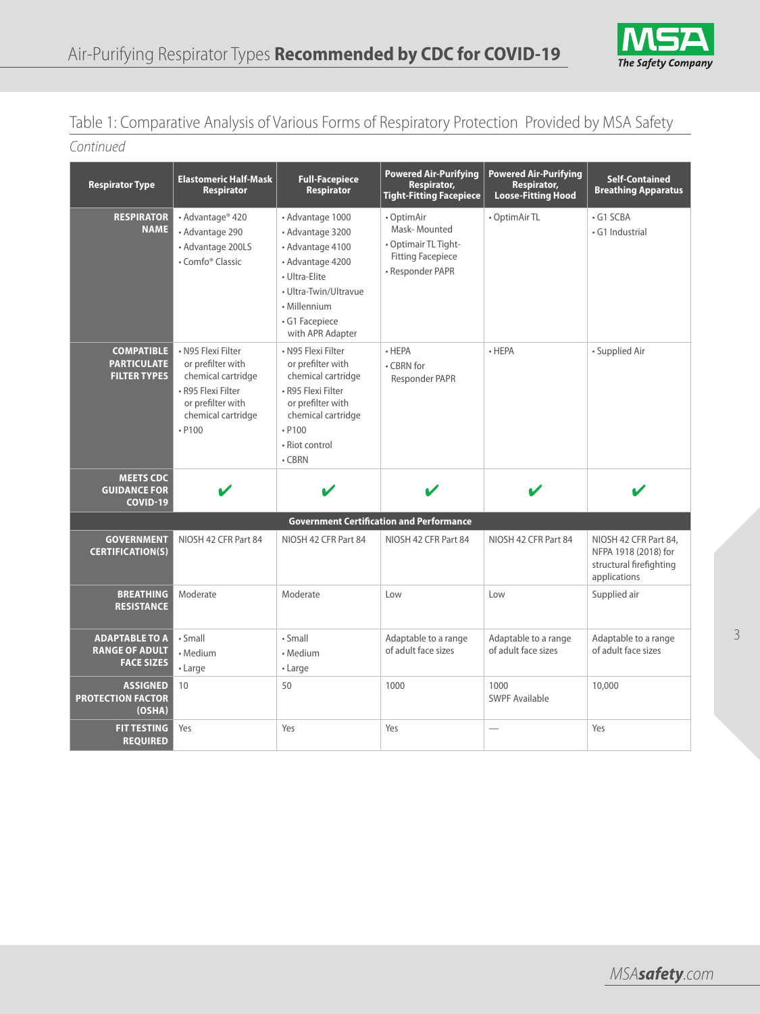## Table 1: Comparative Analysis of Various Forms of Respiratory Protection Provided by MSA Safety

## *Continued*

| <b>Respirator Type</b>                                         | <b>Elastomeric Half-Mask</b><br><b>Respirator</b>                                                                                        | <b>Full-Facepiece</b><br><b>Respirator</b>                                                                                                                                   | <b>Powered Air-Purifying</b><br>Respirator,<br><b>Tight-Fitting Facepiece</b>                      | <b>Powered Air-Purifying</b><br>Respirator,<br>Loose-Fitting Hood | <b>Self-Contained</b><br><b>Breathing Apparatus</b>                                      |
|----------------------------------------------------------------|------------------------------------------------------------------------------------------------------------------------------------------|------------------------------------------------------------------------------------------------------------------------------------------------------------------------------|----------------------------------------------------------------------------------------------------|-------------------------------------------------------------------|------------------------------------------------------------------------------------------|
| <b>RESPIRATOR</b><br><b>NAME</b>                               | • Advantage® 420<br>• Advantage 290<br>• Advantage 200LS<br>• Comfo <sup>®</sup> Classic                                                 | · Advantage 1000<br>· Advantage 3200<br>· Advantage 4100<br>· Advantage 4200<br>• Ultra-Elite<br>• Ultra-Twin/Ultravue<br>• Millennium<br>• G1 Facepiece<br>with APR Adapter | • OptimAir<br>Mask-Mounted<br>• Optimair TL Tight-<br><b>Fitting Facepiece</b><br>• Responder PAPR | • OptimAir TL                                                     | $\cdot$ G1 SCBA<br>· G1 Industrial                                                       |
| <b>COMPATIBLE</b><br><b>PARTICULATE</b><br><b>FILTER TYPES</b> | · N95 Flexi Filter<br>or prefilter with<br>chemical cartridge<br>• R95 Flexi Filter<br>or prefilter with<br>chemical cartridge<br>. P100 | • N95 Flexi Filter<br>or prefilter with<br>chemical cartridge<br>• R95 Flexi Filter<br>or prefilter with<br>chemical cartridge<br>$- P100$<br>• Riot control<br>$\cdot$ CBRN | $\cdot$ HEPA<br>• CBRN for<br>Responder PAPR                                                       | $\cdot$ HEPA                                                      | • Supplied Air                                                                           |
| <b>MEETS CDC</b><br><b>GUIDANCE FOR</b><br><b>COVID-19</b>     | V                                                                                                                                        |                                                                                                                                                                              |                                                                                                    |                                                                   | V                                                                                        |
|                                                                |                                                                                                                                          |                                                                                                                                                                              | <b>Government Certification and Performance</b>                                                    |                                                                   |                                                                                          |
| <b>GOVERNMENT</b><br><b>CERTIFICATION(S)</b>                   | NIOSH 42 CFR Part 84                                                                                                                     | NIOSH 42 CFR Part 84                                                                                                                                                         | NIOSH 42 CFR Part 84                                                                               | NIOSH 42 CFR Part 84                                              | NIOSH 42 CFR Part 84,<br>NFPA 1918 (2018) for<br>structural firefighting<br>applications |
| <b>BREATHING</b><br><b>RESISTANCE</b>                          | Moderate                                                                                                                                 | Moderate                                                                                                                                                                     | Low                                                                                                | Low                                                               | Supplied air                                                                             |
| <b>ADAPTABLE TO A</b>                                          | · Small                                                                                                                                  | $\cdot$ Small                                                                                                                                                                | Adaptable to a range                                                                               | Adaptable to a range                                              | Adaptable to a range                                                                     |
| <b>RANGE OF ADULT</b>                                          | • Medium                                                                                                                                 | • Medium                                                                                                                                                                     | of adult face sizes                                                                                | of adult face sizes                                               | of adult face sizes                                                                      |
| <b>FACE SIZES</b>                                              | $\cdot$ Large                                                                                                                            | $\cdot$ Large                                                                                                                                                                |                                                                                                    |                                                                   |                                                                                          |
| <b>ASSIGNED</b><br><b>PROTECTION FACTOR</b><br>(OSHA)          | 10                                                                                                                                       | 50                                                                                                                                                                           | 1000                                                                                               | 1000<br>SWPF Available                                            | 10,000                                                                                   |
| <b>FIT TESTING</b><br><b>REQUIRED</b>                          | Yes                                                                                                                                      | Yes                                                                                                                                                                          | Yes                                                                                                |                                                                   | Yes                                                                                      |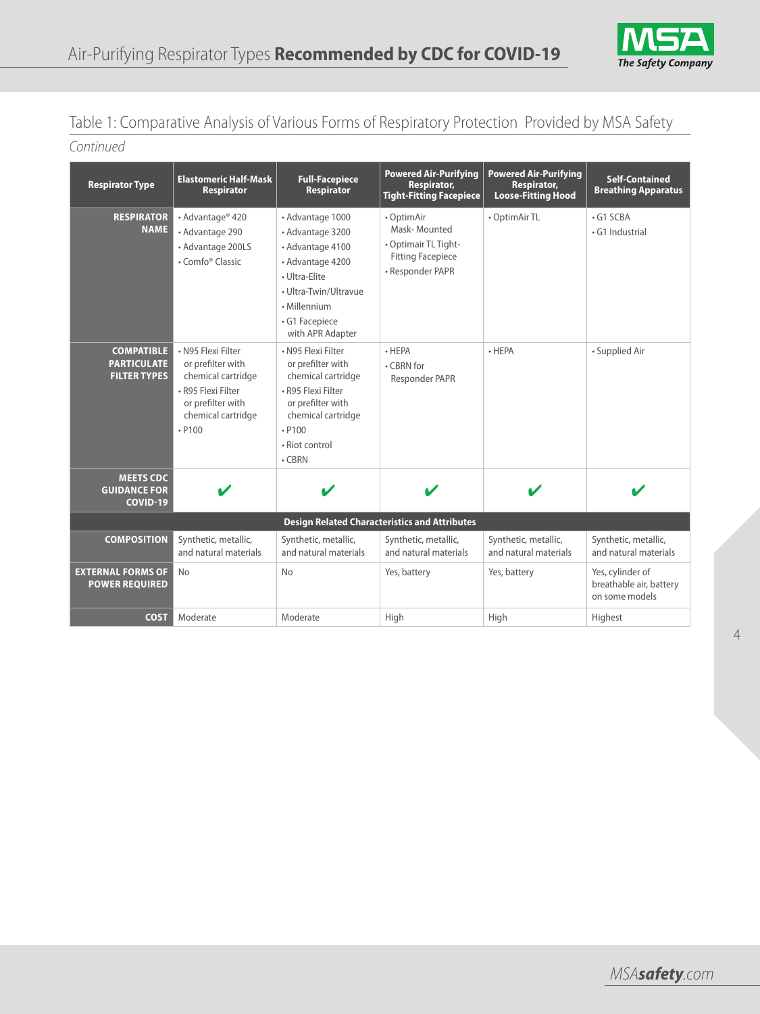

## Table 1: Comparative Analysis of Various Forms of Respiratory Protection Provided by MSA Safety

*Continued*

| <b>Respirator Type</b>                                         | <b>Elastomeric Half-Mask</b><br><b>Respirator</b>                                                                                          | <b>Full-Facepiece</b><br><b>Respirator</b>                                                                                                                                   | <b>Powered Air-Purifying</b><br>Respirator,<br><b>Tight-Fitting Facepiece</b>                      | <b>Powered Air-Purifying</b><br>Respirator,<br><b>Loose-Fitting Hood</b> | <b>Self-Contained</b><br><b>Breathing Apparatus</b>           |
|----------------------------------------------------------------|--------------------------------------------------------------------------------------------------------------------------------------------|------------------------------------------------------------------------------------------------------------------------------------------------------------------------------|----------------------------------------------------------------------------------------------------|--------------------------------------------------------------------------|---------------------------------------------------------------|
| <b>RESPIRATOR</b><br><b>NAME</b>                               | • Advantage® 420<br>• Advantage 290<br>• Advantage 200LS<br>• Comfo <sup>®</sup> Classic                                                   | • Advantage 1000<br>• Advantage 3200<br>• Advantage 4100<br>• Advantage 4200<br>• Ultra-Flite<br>• Ultra-Twin/Ultravue<br>• Millennium<br>· G1 Facepiece<br>with APR Adapter | • OptimAir<br>Mask-Mounted<br>• Optimair TL Tight-<br><b>Fitting Facepiece</b><br>• Responder PAPR | • OptimAir TL                                                            | $\cdot$ G1 SCBA<br>· G1 Industrial                            |
| <b>COMPATIBLE</b><br><b>PARTICULATE</b><br><b>FILTER TYPES</b> | • N95 Flexi Filter<br>or prefilter with<br>chemical cartridge<br>· R95 Flexi Filter<br>or prefilter with<br>chemical cartridge<br>$- P100$ | • N95 Flexi Filter<br>or prefilter with<br>chemical cartridge<br>· R95 Flexi Filter<br>or prefilter with<br>chemical cartridge<br>$- P100$<br>• Riot control<br>$\cdot$ CBRN | $\cdot$ HEPA<br>$\cdot$ CBRN for<br>Responder PAPR                                                 | $\cdot$ HEPA                                                             | • Supplied Air                                                |
| <b>MEETS CDC</b><br><b>GUIDANCE FOR</b><br>COVID-19            | V                                                                                                                                          |                                                                                                                                                                              |                                                                                                    |                                                                          |                                                               |
|                                                                |                                                                                                                                            |                                                                                                                                                                              | <b>Design Related Characteristics and Attributes</b>                                               |                                                                          |                                                               |
| <b>COMPOSITION</b>                                             | Synthetic, metallic,<br>and natural materials                                                                                              | Synthetic, metallic,<br>and natural materials                                                                                                                                | Synthetic, metallic,<br>and natural materials                                                      | Synthetic, metallic,<br>and natural materials                            | Synthetic, metallic,<br>and natural materials                 |
| <b>EXTERNAL FORMS OF</b><br><b>POWER REQUIRED</b>              | <b>No</b>                                                                                                                                  | <b>No</b>                                                                                                                                                                    | Yes, battery                                                                                       | Yes, battery                                                             | Yes, cylinder of<br>breathable air, battery<br>on some models |
| <b>COST</b>                                                    | Moderate                                                                                                                                   | Moderate                                                                                                                                                                     | High                                                                                               | High                                                                     | Highest                                                       |